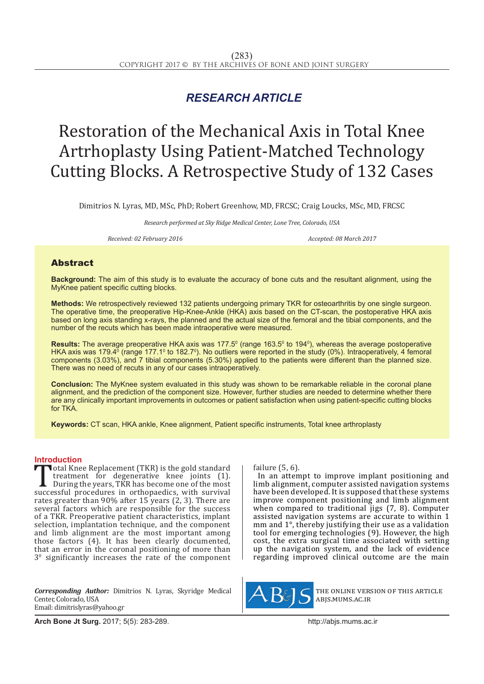## *RESEARCH ARTICLE*

# Restoration of the Mechanical Axis in Total Knee Artrhoplasty Using Patient-Matched Technology Cutting Blocks. A Retrospective Study of 132 Cases

Dimitrios N. Lyras, MD, MSc, PhD; Robert Greenhow, MD, FRCSC; Craig Loucks, MSc, MD, FRCSC

*Research performed at Sky Ridge Medical Center, Lone Tree, Colorado, USA*

*Received: 02 February 2016 Accepted: 08 March 2017*

### Abstract

**Background:** The aim of this study is to evaluate the accuracy of bone cuts and the resultant alignment, using the MyKnee patient specific cutting blocks.

**Methods:** We retrospectively reviewed 132 patients undergoing primary TKR for osteoarthritis by one single surgeon. The operative time, the preoperative Hip-Knee-Ankle (HKA) axis based on the CT-scan, the postoperative HKA axis based on long axis standing x-rays, the planned and the actual size of the femoral and the tibial components, and the number of the recuts which has been made intraoperative were measured.

**Results:** The average preoperative HKA axis was 177.5<sup>0</sup> (range 163.5<sup>0</sup> to 194<sup>0</sup>), whereas the average postoperative HKA axis was 179.4<sup>o</sup> (range 177.1<sup>o</sup> to 182.7<sup>o</sup>). No outliers were reported in the study (0%). Intraoperatively, 4 femoral components (3.03%), and 7 tibial components (5.30%) applied to the patients were different than the planned size. There was no need of recuts in any of our cases intraoperatively.

**Conclusion:** The MyKnee system evaluated in this study was shown to be remarkable reliable in the coronal plane alignment, and the prediction of the component size. However, further studies are needed to determine whether there are any clinically important improvements in outcomes or patient satisfaction when using patient-specific cutting blocks for TKA.

**Keywords:** CT scan, HKA ankle, Knee alignment, Patient specific instruments, Total knee arthroplasty

**Introduction**<br>**T**otal Knee Replacement (TKR) is the gold standard Total Knee Replacement (TKR) is the gold standard<br>treatment for degenerative knee joints (1).<br>During the years, TKR has become one of the most<br>successful procedures in orthopaedics, with survival<br>rates greater than 90% aft treatment for degenerative knee joints (1). During the years, TKR has become one of the most rates greater than 90% after 15 years (2, 3). There are several factors which are responsible for the success of a TKR. Preoperative patient characteristics, implant selection, implantation technique, and the component and limb alignment are the most important among those factors (4). It has been clearly documented, that an error in the coronal positioning of more than 30 significantly increases the rate of the component

*Corresponding Author:* Dimitrios N. Lyras, Skyridge Medical Center, Colorado, USA Email: dimitrislyras@yahoo.gr

failure (5, 6).

In an attempt to improve implant positioning and limb alignment, computer assisted navigation systems have been developed. It is supposed that these systems improve component positioning and limb alignment when compared to traditional jigs (7, 8). Computer assisted navigation systems are accurate to within 1 mm and 1°, thereby justifying their use as a validation tool for emerging technologies (9). However, the high cost, the extra surgical time associated with setting up the navigation system, and the lack of evidence regarding improved clinical outcome are the main



the online version of this article abjs.mums.ac.ir

**Arch Bone Jt Surg.** 2017; 5(5): 283-289.http://abjs.mums.ac.ir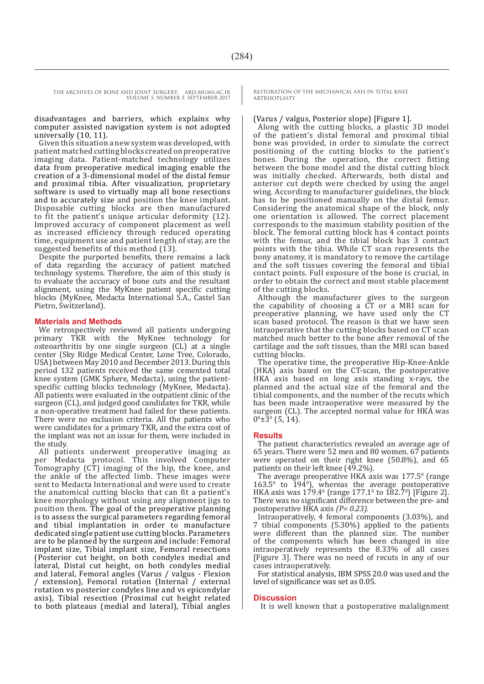THE ARCHIVES OF BONE AND JOINT SURGERY. ABJS.MUMS.AC.IR VOLUME 5. NUMBER 5. SEPTEMBER 2017

> disadvantages and barriers, which explains why computer assisted navigation system is not adopted universally (10, 11).

> Given this situation a new system was developed, with patient matched cutting blocks created on preoperative imaging data. Patient-matched technology utilizes data from preoperative medical imaging enable the creation of a 3-dimensional model of the distal femur and proximal tibia. After visualization, proprietary software is used to virtually map all bone resections and to accurately size and position the knee implant. Disposable cutting blocks are then manufactured to fit the patient's unique articular deformity (12). Improved accuracy of component placement as well as increased efficiency through reduced operating time, equipment use and patient length of stay, are the suggested benefits of this method (13).

> Despite the purported benefits, there remains a lack of data regarding the accuracy of patient matched technology systems. Therefore, the aim of this study is to evaluate the accuracy of bone cuts and the resultant alignment, using the MyKnee patient specific cutting blocks (MyKnee, Medacta International S.A., Castel San Pietro, Switzerland).

#### **Materials and Methods**

We retrospectively reviewed all patients undergoing primary TKR with the MyKnee technology for osteoarthritis by one single surgeon (CL) at a single center (Sky Ridge Medical Center, Lone Tree, Colorado, USA) between May 2010 and December 2013. During this period 132 patients received the same cemented total knee system (GMK Sphere, Medacta), using the patientspecific cutting blocks technology (MyKnee, Medacta). All patients were evaluated in the outpatient clinic of the surgeon (CL), and judged good candidates for TKR, while a non-operative treatment had failed for these patients. There were no exclusion criteria. All the patients who were candidates for a primary TKR, and the extra cost of the implant was not an issue for them, were included in the study.

All patients underwent preoperative imaging as per Medacta protocol. This involved Computer Tomography (CT) imaging of the hip, the knee, and the ankle of the affected limb. These images were sent to Medacta International and were used to create the anatomical cutting blocks that can fit a patient's knee morphology without using any alignment jigs to position them. The goal of the preoperative planning is to assess the surgical parameters regarding femoral and tibial implantation in order to manufacture dedicated single patient use cutting blocks. Parameters are to be planned by the surgeon and include: Femoral implant size, Tibial implant size, Femoral resections (Posterior cut height, on both condyles medial and lateral, Distal cut height, on both condyles medial and lateral, Femoral angles (Varus / valgus - Flexion / extension), Femoral rotation (Internal / external rotation vs posterior condyles line and vs epicondylar axis), Tibial resection (Proximal cut height related to both plateaus (medial and lateral), Tibial angles RESTORATION OF THE MECHANICAL AXIS IN TOTAL KNEE **ARTRHOPLASTY** 

#### (Varus / valgus, Posterior slope) [Figure 1].

Along with the cutting blocks, a plastic 3D model of the patient's distal femoral and proximal tibial bone was provided, in order to simulate the correct positioning of the cutting blocks to the patient's bones. During the operation, the correct fitting between the bone model and the distal cutting block was initially checked. Afterwards, both distal and anterior cut depth were checked by using the angel wing. According to manufacturer guidelines, the block has to be positioned manually on the distal femur. Considering the anatomical shape of the block, only one orientation is allowed. The correct placement corresponds to the maximum stability position of the block. The femoral cutting block has 4 contact points with the femur, and the tibial block has 3 contact points with the tibia. While CT scan represents the bony anatomy, it is mandatory to remove the cartilage and the soft tissues covering the femoral and tibial contact points. Full exposure of the bone is crucial, in order to obtain the correct and most stable placement of the cutting blocks.

Although the manufacturer gives to the surgeon the capability of choosing a CT or a MRI scan for preoperative planning, we have used only the CT scan based protocol. The reason is that we have seen intraoperative that the cutting blocks based on CT scan matched much better to the bone after removal of the cartilage and the soft tissues, than the MRI scan based cutting blocks.

The operative time, the preoperative Hip-Knee-Ankle (HKA) axis based on the CT-scan, the postoperative HKA axis based on long axis standing x-rays, the planned and the actual size of the femoral and the tibial components, and the number of the recuts which has been made intraoperative were measured by the surgeon (CL). The accepted normal value for HKA was  $0^0\pm3^0$  (5, 14).

#### **Results**

The patient characteristics revealed an average age of 65 years. There were 52 men and 80 women. 67 patients were operated on their right knee (50.8%), and 65 patients on their left knee (49.2%).

The average preoperative HKA axis was  $177.5^{\circ}$  (range  $163.5^{\circ}$  to  $194^{\circ}$ ), whereas the average postoperative HKA axis was  $179.4^{\circ}$  (range  $177.1^{\circ}$  to  $182.7^{\circ}$ ) [Figure 2]. There was no significant difference between the pre- and postoperative HKA axis *(P= 0.23)*.

Intraoperatively, 4 femoral components (3.03%), and 7 tibial components (5.30%) applied to the patients were different than the planned size. The number of the components which has been changed in size intraoperatively represents the 8.33% of all cases [Figure 3]. There was no need of recuts in any of our cases intraoperatively.

For statistical analysis, IBM SPSS 20.0 was used and the level of significance was set as 0.05.

#### **Discussion**

It is well known that a postoperative malalignment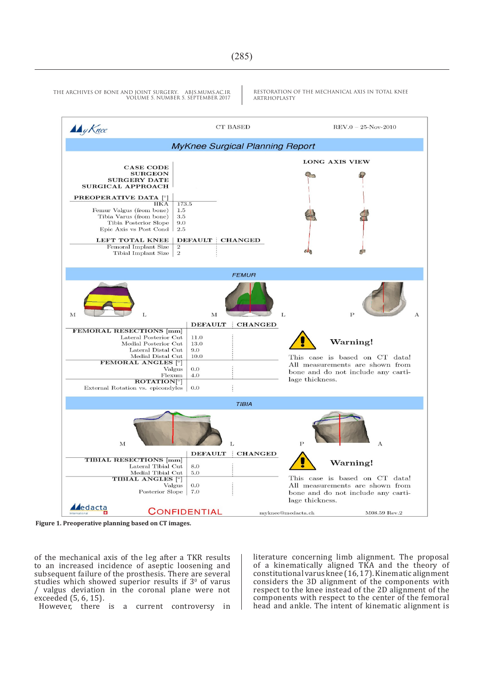

RESTORATION OF THE MECHANICAL AXIS IN TOTAL KNEE **ARTRHOPLASTY** 



**Figure 1. Preoperative planning based on CT images.**

of the mechanical axis of the leg after a TKR results to an increased incidence of aseptic loosening and subsequent failure of the prosthesis. There are several studies which showed superior results if  $3<sup>0</sup>$  of varus / valgus deviation in the coronal plane were not exceeded (5, 6, 15).

However, there is a current controversy in

literature concerning limb alignment. The proposal of a kinematically aligned TKA and the theory of constitutional varus knee (16, 17). Kinematic alignment considers the 3D alignment of the components with respect to the knee instead of the 2D alignment of the components with respect to the center of the femoral head and ankle. The intent of kinematic alignment is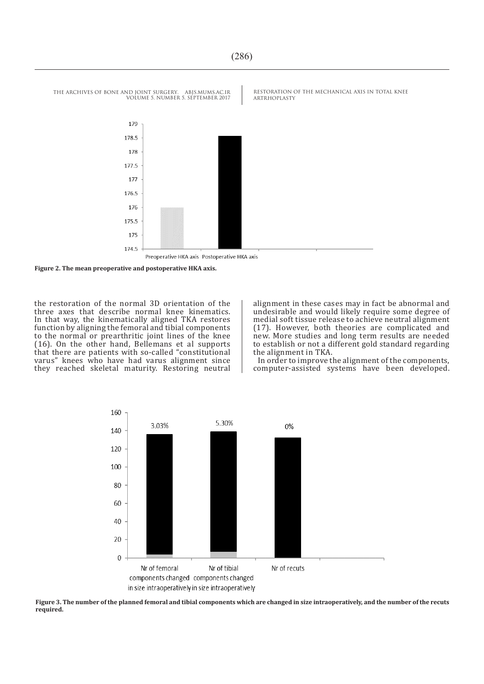

**Figure 2. The mean preoperative and postoperative HKA axis.**

the restoration of the normal 3D orientation of the three axes that describe normal knee kinematics. In that way, the kinematically aligned TKA restores function by aligning the femoral and tibial components to the normal or prearthritic joint lines of the knee (16). On the other hand, Bellemans et al supports that there are patients with so-called "constitutional varus" knees who have had varus alignment since they reached skeletal maturity. Restoring neutral alignment in these cases may in fact be abnormal and undesirable and would likely require some degree of medial soft tissue release to achieve neutral alignment (17). However, both theories are complicated and new. More studies and long term results are needed to establish or not a different gold standard regarding the alignment in TKA.

In order to improve the alignment of the components, computer-assisted systems have been developed.



**Figure 3. The number of the planned femoral and tibial components which are changed in size intraoperatively, and the number of the recuts required.**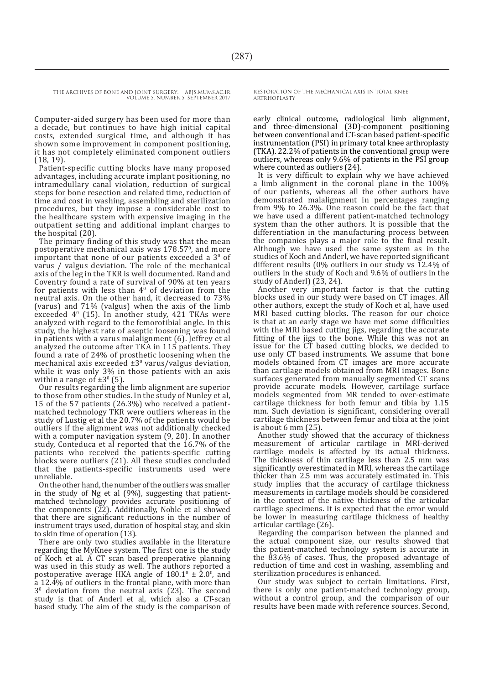Computer-aided surgery has been used for more than a decade, but continues to have high initial capital costs, extended surgical time, and although it has shown some improvement in component positioning, it has not completely eliminated component outliers (18, 19).

Patient-specific cutting blocks have many proposed advantages, including accurate implant positioning, no intramedullary canal violation, reduction of surgical steps for bone resection and related time, reduction of time and cost in washing, assembling and sterilization procedures, but they impose a considerable cost to the healthcare system with expensive imaging in the outpatient setting and additional implant charges to the hospital (20).

The primary finding of this study was that the mean postoperative mechanical axis was  $178.57$ <sup>0</sup>, and more important that none of our patients exceeded a  $3<sup>0</sup>$  of varus / valgus deviation. The role of the mechanical axis of the leg in the TKR is well documented. Rand and Coventry found a rate of survival of 90% at ten years for patients with less than  $4<sup>0</sup>$  of deviation from the neutral axis. On the other hand, it decreased to 73% (varus) and 71% (valgus) when the axis of the limb exceeded  $4^{\circ}$  (15). In another study, 421 TKAs were analyzed with regard to the femorotibial angle. In this study, the highest rate of aseptic loosening was found in patients with a varus malalignment (6). Jeffrey et al analyzed the outcome after TKA in 115 patients. They found a rate of 24% of prosthetic loosening when the mechanical axis exceeded  $\pm 3^{\circ}$  varus/valgus deviation, while it was only 3% in those patients with an axis within a range of  $\pm 3^{\circ}$  (5).

Our results regarding the limb alignment are superior to those from other studies. In the study of Nunley et al, 15 of the 57 patients (26.3%) who received a patientmatched technology TKR were outliers whereas in the study of Lustig et al the 20.7% of the patients would be outliers if the alignment was not additionally checked with a computer navigation system (9, 20). In another study, Conteduca et al reported that the 16.7% of the patients who received the patients-specific cutting blocks were outliers (21). All these studies concluded that the patients-specific instruments used were unreliable.

On the other hand, the number of the outliers was smaller in the study of Ng et al (9%), suggesting that patientmatched technology provides accurate positioning of the components (22). Additionally, Noble et al showed that there are significant reductions in the number of instrument trays used, duration of hospital stay, and skin to skin time of operation (13).

There are only two studies available in the literature regarding the MyKnee system. The first one is the study of Koch et al. A CT scan based preoperative planning was used in this study as well. The authors reported a postoperative average HKA angle of  $180.1^{\circ} \pm 2.0^{\circ}$ , and a 12.4% of outliers in the frontal plane, with more than  $3^{\circ}$  deviation from the neutral axis (23). The second study is that of Anderl et al, which also a CT-scan based study. The aim of the study is the comparison of RESTORATION OF THE MECHANICAL AXIS IN TOTAL KNEE **ARTRHOPLASTY** 

early clinical outcome, radiological limb alignment, and three-dimensional (3D)-component positioning between conventional and CT-scan based patient-specific instrumentation (PSI) in primary total knee arthroplasty (TKA). 22.2% of patients in the conventional group were outliers, whereas only 9.6% of patients in the PSI group where counted as outliers (24).

It is very difficult to explain why we have achieved a limb alignment in the coronal plane in the 100% of our patients, whereas all the other authors have demonstrated malalignment in percentages ranging from 9% to 26.3%. One reason could be the fact that we have used a different patient-matched technology system than the other authors. It is possible that the differentiation in the manufacturing process between the companies plays a major role to the final result. Although we have used the same system as in the studies of Koch and Anderl, we have reported significant different results (0% outliers in our study vs 12.4% of outliers in the study of Koch and 9.6% of outliers in the study of Anderl) (23, 24).

Another very important factor is that the cutting blocks used in our study were based on CT images. All other authors, except the study of Koch et al, have used MRI based cutting blocks. The reason for our choice is that at an early stage we have met some difficulties with the MRI based cutting jigs, regarding the accurate fitting of the jigs to the bone. While this was not an issue for the CT based cutting blocks, we decided to use only CT based instruments. We assume that bone models obtained from CT images are more accurate than cartilage models obtained from MRI images. Bone surfaces generated from manually segmented CT scans provide accurate models. However, cartilage surface models segmented from MR tended to over-estimate cartilage thickness for both femur and tibia by 1.15 mm. Such deviation is significant, considering overall cartilage thickness between femur and tibia at the joint is about 6 mm (25).

Another study showed that the accuracy of thickness measurement of articular cartilage in MRI-derived cartilage models is affected by its actual thickness. The thickness of thin cartilage less than 2.5 mm was significantly overestimated in MRI, whereas the cartilage thicker than 2.5 mm was accurately estimated in. This study implies that the accuracy of cartilage thickness measurements in cartilage models should be considered in the context of the native thickness of the articular cartilage specimens. It is expected that the error would be lower in measuring cartilage thickness of healthy articular cartilage (26).

Regarding the comparison between the planned and the actual component size, our results showed that this patient-matched technology system is accurate in the 83.6% of cases. Thus, the proposed advantage of reduction of time and cost in washing, assembling and sterilization procedures is enhanced.

Our study was subject to certain limitations. First, there is only one patient-matched technology group, without a control group, and the comparison of our results have been made with reference sources. Second,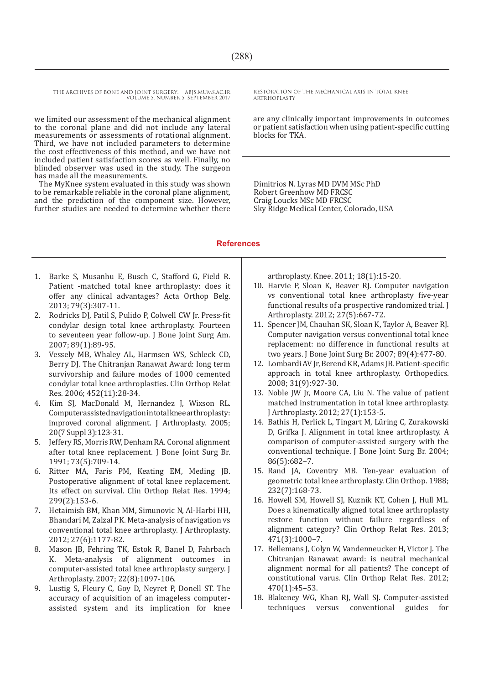THE ARCHIVES OF BONE AND JOINT SURGERY. ABJS.MUMS.AC.IR VOLUME 5. NUMBER 5. SEPTEMBER 2017

we limited our assessment of the mechanical alignment to the coronal plane and did not include any lateral measurements or assessments of rotational alignment. Third, we have not included parameters to determine the cost effectiveness of this method, and we have not included patient satisfaction scores as well. Finally, no blinded observer was used in the study. The surgeon has made all the measurements.

The MyKnee system evaluated in this study was shown to be remarkable reliable in the coronal plane alignment, and the prediction of the component size. However, further studies are needed to determine whether there RESTORATION OF THE MECHANICAL AXIS IN TOTAL KNEE ARTRHOPLASTY

are any clinically important improvements in outcomes or patient satisfaction when using patient-specific cutting blocks for TKA.

Dimitrios N. Lyras MD DVM MSc PhD Robert Greenhow MD FRCSC Craig Loucks MSc MD FRCSC Sky Ridge Medical Center, Colorado, USA

#### **References**

- 1. Barke S, Musanhu E, Busch C, Stafford G, Field R. Patient -matched total knee arthroplasty: does it offer any clinical advantages? Acta Orthop Belg. 2013; 79(3):307-11.
- 2. Rodricks DJ, Patil S, Pulido P, Colwell CW Jr. Press-fit condylar design total knee arthroplasty. Fourteen to seventeen year follow-up. J Bone Joint Surg Am. 2007; 89(1):89-95.
- 3. Vessely MB, Whaley AL, Harmsen WS, Schleck CD, Berry DJ. The Chitranjan Ranawat Award: long term survivorship and failure modes of 1000 cemented condylar total knee arthroplasties. Clin Orthop Relat Res. 2006; 452(11):28-34.
- 4. Kim SJ, MacDonald M, Hernandez J, Wixson RL. Computer assisted navigation in total knee arthroplasty: improved coronal alignment. J Arthroplasty. 2005; 20(7 Suppl 3):123-31.
- 5. Jeffery RS, Morris RW, Denham RA. Coronal alignment after total knee replacement. J Bone Joint Surg Br. 1991; 73(5):709-14.
- 6. Ritter MA, Faris PM, Keating EM, Meding JB. Postoperative alignment of total knee replacement. Its effect on survival. Clin Orthop Relat Res. 1994; 299(2):153-6.
- 7. Hetaimish BM, Khan MM, Simunovic N, Al-Harbi HH, Bhandari M, Zalzal PK. Meta-analysis of navigation vs conventional total knee arthroplasty. J Arthroplasty. 2012; 27(6):1177-82.
- 8. Mason JB, Fehring TK, Estok R, Banel D, Fahrbach K. Meta-analysis of alignment outcomes in computer-assisted total knee arthroplasty surgery. J Arthroplasty. 2007; 22(8):1097-106.
- 9. Lustig S, Fleury C, Goy D, Neyret P, Donell ST. The accuracy of acquisition of an imageless computerassisted system and its implication for knee

arthroplasty. Knee. 2011; 18(1):15-20.

- 10. Harvie P, Sloan K, Beaver RJ. Computer navigation vs conventional total knee arthroplasty five-year functional results of a prospective randomized trial. J Arthroplasty. 2012; 27(5):667-72.
- 11. Spencer JM, Chauhan SK, Sloan K, Taylor A, Beaver RJ. Computer navigation versus conventional total knee replacement: no difference in functional results at two years. J Bone Joint Surg Br. 2007; 89(4):477-80.
- 12. Lombardi AV Jr, Berend KR, Adams JB. Patient-specific approach in total knee arthroplasty. Orthopedics. 2008; 31(9):927-30.
- 13. Noble JW Jr, Moore CA, Liu N. The value of patient matched instrumentation in total knee arthroplasty. J Arthroplasty. 2012; 27(1):153-5.
- 14. Bathis H, Perlick L, Tingart M, Lüring C, Zurakowski D, Grifka J. Alignment in total knee arthroplasty. A comparison of computer-assisted surgery with the conventional technique. J Bone Joint Surg Br. 2004; 86(5):682–7.
- 15. Rand JA, Coventry MB. Ten-year evaluation of geometric total knee arthroplasty. Clin Orthop. 1988; 232(7):168-73.
- 16. Howell SM, Howell SJ, Kuznik KT, Cohen J, Hull ML. Does a kinematically aligned total knee arthroplasty restore function without failure regardless of alignment category? Clin Orthop Relat Res. 2013; 471(3):1000–7.
- 17. Bellemans J, Colyn W, Vandenneucker H, Victor J. The Chitranjan Ranawat award: is neutral mechanical alignment normal for all patients? The concept of constitutional varus. Clin Orthop Relat Res. 2012; 470(1):45–53.
- 18. Blakeney WG, Khan RJ, Wall SJ. Computer-assisted<br>techniques versus conventional guides for techniques versus conventional